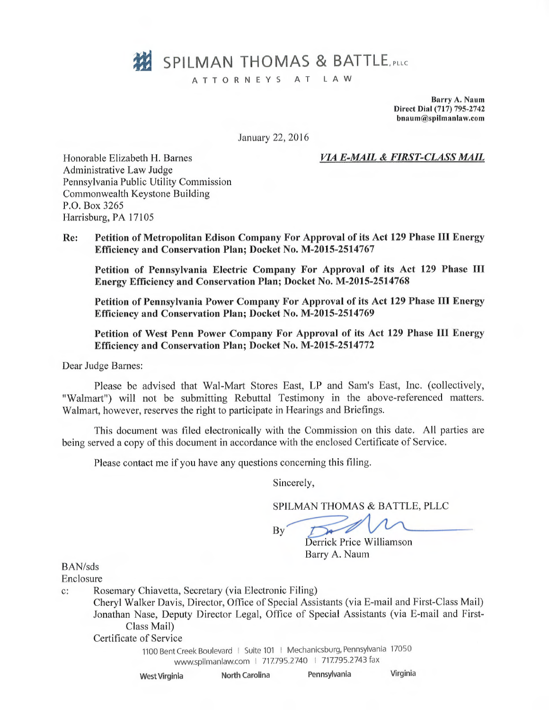# **322 SPILMAN THOMAS & BATTLE** PLLC

ATTORNEYS AT LAW

Barry A. Naum Direct Dial (717) 795-2742 bnaum@spilmanlaw.com

January 22, 2016

### Honorable Elizabeth H. Barnes VIA E-MAIL & FIRST-CLASS MAIL

Administrative Law Judge Pennsylvania Public Utility Commission Commonwealth Keystone Building P.O. Box 3265 Harrisburg, PA 17105

# Re: Petition of Metropolitan Edison Company For Approval of its Act 129 Phase III Energy Efficiency and Conservation Plan; Docket No. M-2015-2514767

Petition of Pennsylvania Electric Company For Approval of its Act 129 Phase III Energy Efficiency and Conservation Plan; Docket No. M-2015-2514768

Petition of Pennsylvania Power Company For Approval of its Act 129 Phase III Energy Efficiency and Conservation Plan; Docket No. M-2015-2514769

Petition of West Penn Power Company For Approval of its Act 129 Phase III Energy Efficiency and Conservation Plan; Docket No. M-2015-2514772

Dear Judge Barnes:

Please be advised that Wal-Mart Stores East, LP and Sam's East, Inc. (collectively, "Walmart") will not be submitting Rebuttal Testimony in the above-referenced matters. Walmart, however, reserves the right to participate in Hearings and Briefings.

This document was filed electronically with the Commission on this date. All parties are being served a copy of this document in accordance with the enclosed Certificate of Service.

Please contact me if you have any questions concerning this filing.

Sincerely,

SPILMAN THOMAS & BATTLE, PLLC

By

Derrick Price Williamson Barry A. Naum

BAN/sds

Enclosure

c: Rosemary Chiavetta, Secretary (via Electronic Filing)

Cheryl Walker Davis, Director, Office of Special Assistants (via E-mail and First-Class Mail) Jonathan Nase, Deputy Director Legal, Office of Special Assistants (via E-mail and First-Class Mail)

Certificate of Service

1100 Bent Creek Boulevard I Suite 101 I Mechanicsburg, Pennsylvania 17050 www.spilmanlaw.com 1 717795.2740 1 717.795.2743 fax

West Virginia North Carolina Pennsylvania Virginia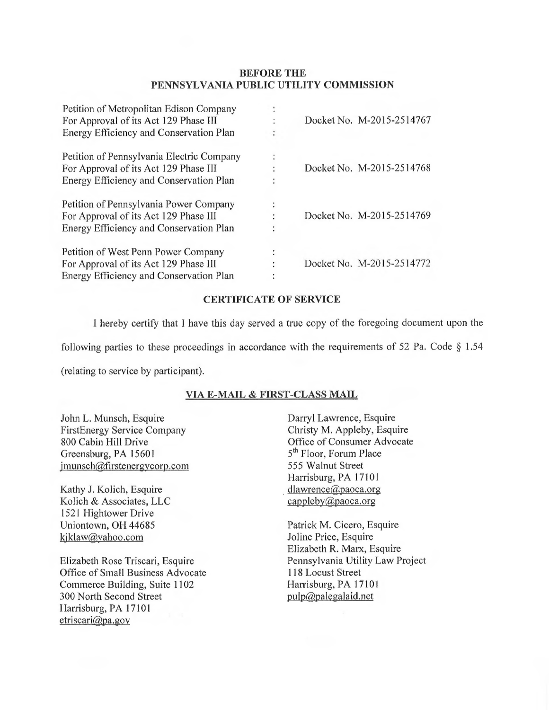## BEFORE THE PENNSYLVANIA PUBLIC UTILITY COMMISSION

| Petition of Metropolitan Edison Company<br>For Approval of its Act 129 Phase III<br>Energy Efficiency and Conservation Plan   | Docket No. M-2015-2514767 |
|-------------------------------------------------------------------------------------------------------------------------------|---------------------------|
| Petition of Pennsylvania Electric Company<br>For Approval of its Act 129 Phase III<br>Energy Efficiency and Conservation Plan | Docket No. M-2015-2514768 |
| Petition of Pennsylvania Power Company<br>For Approval of its Act 129 Phase III<br>Energy Efficiency and Conservation Plan    | Docket No. M-2015-2514769 |
| Petition of West Penn Power Company<br>For Approval of its Act 129 Phase III<br>Energy Efficiency and Conservation Plan       | Docket No. M-2015-2514772 |

### CERTIFICATE OF SERVICE

I hereby certify that I have this day served a true copy of the foregoing document upon the

following parties to these proceedings in accordance with the requirements of 52 Pa. Code  $\S 1.54$ 

(relating to service by participant).

# VIA E-MAIL & FIRST-CLASS MAIL

John L. Munsch, Esquire FirstEnergy Service Company 800 Cabin Hill Drive Greensburg, PA 15601 jmunsch@firstenergycorp.com

Kathy J. Kolich, Esquire Kolich & Associates, LLC 1521 Hightower Drive Uniontown, OH 44685 kjklaw@yahoo.com

Elizabeth Rose Triscari, Esquire Office of Small Business Advocate Commerce Building, Suite 1102 300 North Second Street Harrisburg, PA 17101 etriscari@pa.gov

Darryl Lawrence, Esquire Christy M. Appleby, Esquire Office of Consumer Advocate 5<sup>th</sup> Floor, Forum Place 555 Walnut Street Harrisburg, PA 17101 dlawrence@paoca.org cappleby@paoca.org

Patrick M. Cicero, Esquire Joline Price, Esquire Elizabeth R. Marx, Esquire Pennsylvania Utility Law Project 118 Locust Street Harrisburg, PA 17101 pulp@palegalaid.net